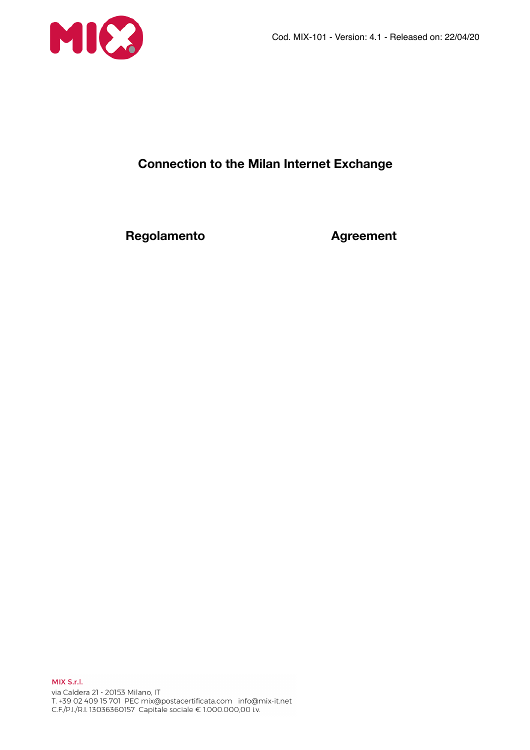

# **Connection to the Milan Internet Exchange**

**Regolamento Agreement**

MIX S.r.l. via Caldera 21 - 20153 Milano, IT 1.439 02 409 15 701 PEC mix@postacertificata.com info@mix-it.net<br>C.F./P.I./R.I. 13036360157 Capitale sociale € 1.000.000,00 i.v.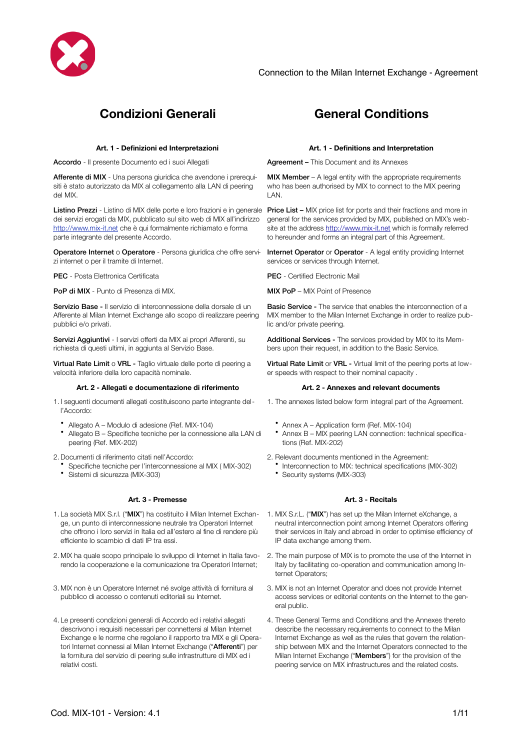

# **Condizioni Generali General Conditions**

Accordo - Il presente Documento ed i suoi Allegati **Agreement – This Document and its Annexes** 

Afferente di MIX - Una persona giuridica che avendone i prerequisiti è stato autorizzato da MIX al collegamento alla LAN di peering del MIX.

Listino Prezzi - Listino di MIX delle porte e loro frazioni e in generale dei servizi erogati da MIX, pubblicato sul sito web di MIX all'indirizzo <http://www.mix-it.net> che è qui formalmente richiamato e forma parte integrante del presente Accordo.

Operatore Internet o Operatore - Persona giuridica che offre servizi internet o per il tramite di Internet.

PFC - Posta Flettronica Certificata Pecca Certification PEC - Certified Electronic Mail

**PoP di MIX** - Punto di Presenza di MIX. MIX **MIX PoP – MIX Point of Presence** 

Servizio Base - Il servizio di interconnessione della dorsale di un Afferente al Milan Internet Exchange allo scopo di realizzare peering pubblici e/o privati.

Servizi Aggiuntivi - I servizi offerti da MIX ai propri Afferenti, su richiesta di questi ultimi, in aggiunta al Servizio Base.

Virtual Rate Limit o VRL - Taglio virtuale delle porte di peering a velocità inferiore della loro capacità nominale.

### **Art. 2 - Allegati e documentazione di riferimento Art. 2 - Annexes and relevant documents**

1. I seguenti documenti allegati costituiscono parte integrante dell'Accordo:

- Allegato A Modulo di adesione (Ref. MIX-104)
- Allegato B Specifiche tecniche per la connessione alla LAN di peering (Ref. MIX-202)

2.Documenti di riferimento citati nell'Accordo:

- Specifiche tecniche per l'interconnessione al MIX ( MIX-302)
- Sistemi di sicurezza (MIX-303)

### **Art. 3 - Premesse Art. 3 - Recitals**

- 1. La società MIX S.r.l. ("MIX") ha costituito il Milan Internet Exchan- 1. MIX S.r.L. ("MIX") has set up the Milan Internet eXchange, a ge, un punto di interconnessione neutrale tra Operatori Internet che offrono i loro servizi in Italia ed all'estero al fine di rendere più efficiente lo scambio di dati IP tra essi.
- 2. MIX ha quale scopo principale lo sviluppo di Internet in Italia favorendo la cooperazione e la comunicazione tra Operatori Internet;
- 3. MIX non è un Operatore Internet né svolge attività di fornitura al pubblico di accesso o contenuti editoriali su Internet.
- 4. Le presenti condizioni generali di Accordo ed i relativi allegati descrivono i requisiti necessari per connettersi al Milan Internet Exchange e le norme che regolano il rapporto tra MIX e gli Operatori Internet connessi al Milan Internet Exchange ("Afferenti") per la fornitura del servizio di peering sulle infrastrutture di MIX ed i relativi costi.

### **Art. 1 - Definizioni ed Interpretazioni Art. 1 - Definitions and Interpretation**

MIX Member – A legal entity with the appropriate requirements who has been authorised by MIX to connect to the MIX peering LAN.

**Price List – MIX price list for ports and their fractions and more in** general for the services provided by MIX, published on MIX's website at the address <http://www.mix-it.net> which is formally referred to hereunder and forms an integral part of this Agreement.

Internet Operator or Operator - A legal entity providing Internet services or services through Internet.

Basic Service - The service that enables the interconnection of a MIX member to the Milan Internet Exchange in order to realize public and/or private peering.

Additional Services - The services provided by MIX to its Members upon their request, in addition to the Basic Service.

Virtual Rate Limit or VRL - Virtual limit of the peering ports at lower speeds with respect to their nominal capacity .

- 1. The annexes listed below form integral part of the Agreement.
	- Annex A Application form (Ref. MIX-104)
	- Annex B MIX peering LAN connection: technical specifications (Ref. MIX-202)
- 2. Relevant documents mentioned in the Agreement:
	- Interconnection to MIX: technical specifications (MIX-302)
	- Security systems (MIX-303)

- neutral interconnection point among Internet Operators offering their services in Italy and abroad in order to optimise efficiency of IP data exchange among them.
- 2. The main purpose of MIX is to promote the use of the Internet in Italy by facilitating co-operation and communication among Internet Operators;
- 3. MIX is not an Internet Operator and does not provide Internet access services or editorial contents on the Internet to the general public.
- 4. These General Terms and Conditions and the Annexes thereto describe the necessary requirements to connect to the Milan Internet Exchange as well as the rules that govern the relationship between MIX and the Internet Operators connected to the Milan Internet Exchange ("Members") for the provision of the peering service on MIX infrastructures and the related costs.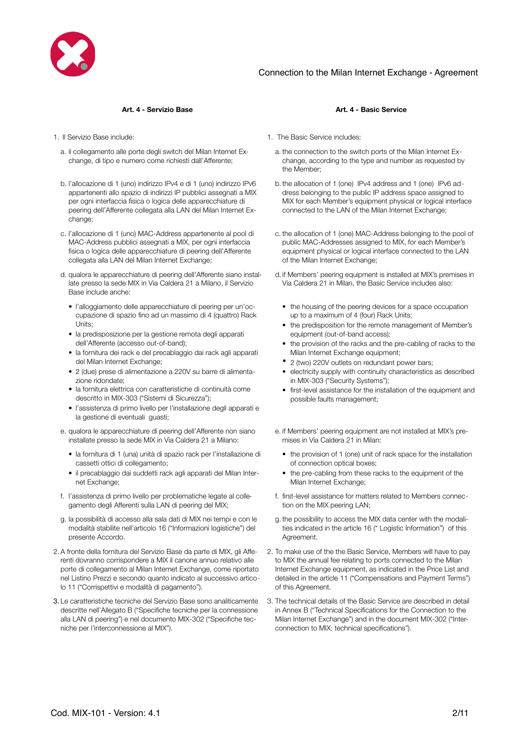

- a. il collegamento alle porte degli switch del Milan Internet Exchange, di tipo e numero come richiesti dall'Afferente;
- b. l'allocazione di 1 (uno) indirizzo IPv4 e di 1 (uno) indirizzo IPv6 appartenenti allo spazio di indirizzi IP pubblici assegnati a MIX per ogni interfaccia fisica o logica delle apparecchiature di peering dell'Afferente collegata alla LAN del Milan Internet Exchange;
- c. l'allocazione di 1 (uno) MAC-Address appartenente al pool di MAC-Address pubblici assegnati a MIX, per ogni interfaccia fisica o logica delle apparecchiature di peering dell'Afferente collegata alla LAN del Milan Internet Exchange;
- d. qualora le apparecchiature di peering dell'Afferente siano installate presso la sede MIX in Via Caldera 21 a Milano, il Servizio Base include anche:
	- l'alloggiamento delle apparecchiature di peering per un'occupazione di spazio fino ad un massimo di 4 (quattro) Rack Units;
	- la predisposizione per la gestione remota degli apparati dell'Afferente (accesso out-of-band);
	- la fornitura dei rack e del precablaggio dai rack agli apparati del Milan Internet Exchange;
	- 2 (due) prese di alimentazione a 220V su barre di alimentazione ridondate;
	- la fornitura elettrica con caratteristiche di continuità come descritto in MIX-303 ("Sistemi di Sicurezza");
	- l'assistenza di primo livello per l'installazione degli apparati e la gestione di eventuali guasti;
- e. qualora le apparecchiature di peering dell'Afferente non siano installate presso la sede MIX in Via Caldera 21 a Milano:
	- la fornitura di 1 (una) unità di spazio rack per l'installazione di cassetti ottici di collegamento;
	- il precablaggio dai suddetti rack agli apparati del Milan Internet Exchange;
- f. l'assistenza di primo livello per problematiche legate al collegamento degli Afferenti sulla LAN di peering del MIX;
- g. la possibilità di accesso alla sala dati di MIX nei tempi e con le modalità stabilite nell'articolo 16 ("Informazioni logistiche") del presente Accordo.
- 2. A fronte della fornitura del Servizio Base da parte di MIX, gli Afferenti dovranno corrispondere a MIX il canone annuo relativo alle porte di collegamento al Milan Internet Exchange, come riportato nel Listino Prezzi e secondo quanto indicato al successivo articolo 11 ("Corrispettivi e modalità di pagamento").
- 3. Le caratteristiche tecniche del Servizio Base sono analiticamente descritte nell'Allegato B ("Specifiche tecniche per la connessione alla LAN di peering") e nel documento MIX-302 ("Specifiche tecniche per l'interconnessione al MIX").

### **Art. 4 - Servizio Base Art. 4 - Basic Service**

- 1. Il Servizio Base include: 1. The Basic Service includes:
	- a. the connection to the switch ports of the Milan Internet Exchange, according to the type and number as requested by the Member;
	- b.the allocation of 1 (one) IPv4 address and 1 (one) IPv6 address belonging to the public IP address space assigned to MIX for each Member's equipment physical or logical interface connected to the LAN of the Milan Internet Exchange;
	- c. the allocation of 1 (one) MAC-Address belonging to the pool of public MAC-Addresses assigned to MIX, for each Member's equipment physical or logical interface connected to the LAN of the Milan Internet Exchange;
	- d. if Members' peering equipment is installed at MIX's premises in Via Caldera 21 in Milan, the Basic Service includes also:
		- the housing of the peering devices for a space occupation up to a maximum of 4 (four) Rack Units;
		- the predisposition for the remote management of Member's equipment (out-of-band access);
		- the provision of the racks and the pre-cabling of racks to the Milan Internet Exchange equipment;
		- 2 (two) 220V outlets on redundant power bars;
		- electricity supply with continuity characteristics as described in MIX-303 ("Security Systems");
		- first-level assistance for the installation of the equipment and possible faults management;
	- e. if Members' peering equipment are not installed at MIX's premises in Via Caldera 21 in Milan:
		- the provision of 1 (one) unit of rack space for the installation of connection optical boxes;
		- the pre-cabling from these racks to the equipment of the Milan Internet Exchange;
	- f. first-level assistance for matters related to Members connection on the MIX peering LAN;
	- g. the possibility to access the MIX data center with the modalities indicated in the article 16 (" Logistic Information") of this Agreement.
	- 2. To make use of the the Basic Service, Members will have to pay to MIX the annual fee relating to ports connected to the Milan Internet Exchange equipment, as indicated in the Price List and detailed in the article 11 ("Compensations and Payment Terms") of this Agreement.
	- 3. The technical details of the Basic Service are described in detail in Annex B ("Technical Specifications for the Connection to the Milan Internet Exchange") and in the document MIX-302 ("Interconnection to MIX: technical specifications").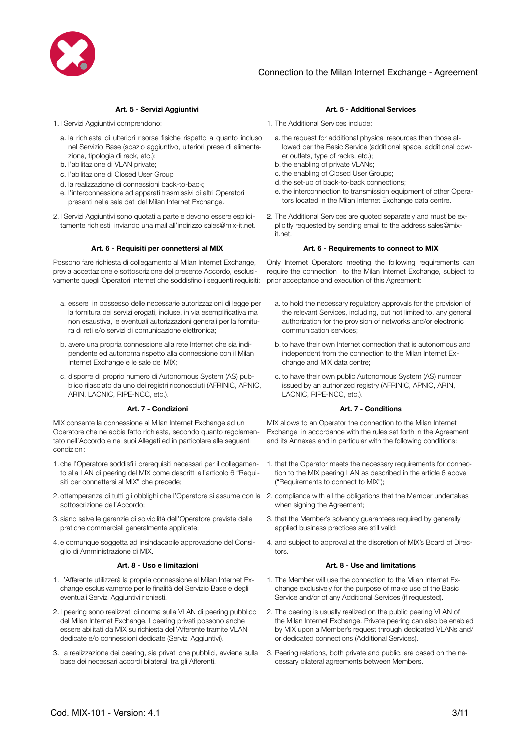

- - a. la richiesta di ulteriori risorse fisiche rispetto a quanto incluso nel Servizio Base (spazio aggiuntivo, ulteriori prese di alimentazione, tipologia di rack, etc.);
	- b. l'abilitazione di VLAN private;
	- c. l'abilitazione di Closed User Group
	- d. la realizzazione di connessioni back-to-back;
	- e. l'interconnessione ad apparati trasmissivi di altri Operatori presenti nella sala dati del Milan Internet Exchange.
- 2. I Servizi Aggiuntivi sono quotati a parte e devono essere esplicitamente richiesti inviando una mail all'indirizzo sales@mix-it.net.

### **Art. 6 - Requisiti per connettersi al MIX Art. 6 - Requirements to connect to MIX**

Possono fare richiesta di collegamento al Milan Internet Exchange, previa accettazione e sottoscrizione del presente Accordo, esclusivamente quegli Operatori Internet che soddisfino i seguenti requisiti:

- a. essere in possesso delle necessarie autorizzazioni di legge per la fornitura dei servizi erogati, incluse, in via esemplificativa ma non esaustiva, le eventuali autorizzazioni generali per la fornitura di reti e/o servizi di comunicazione elettronica;
- b. avere una propria connessione alla rete Internet che sia indipendente ed autonoma rispetto alla connessione con il Milan Internet Exchange e le sale del MIX;
- c. disporre di proprio numero di Autonomous System (AS) pubblico rilasciato da uno dei registri riconosciuti (AFRINIC, APNIC, ARIN, LACNIC, RIPE-NCC, etc.).

MIX consente la connessione al Milan Internet Exchange ad un Operatore che ne abbia fatto richiesta, secondo quanto regolamentato nell'Accordo e nei suoi Allegati ed in particolare alle seguenti condizioni:

- 1. che l'Operatore soddisfi i prerequisiti necessari per il collegamento alla LAN di peering del MIX come descritti all'articolo 6 "Requisiti per connettersi al MIX" che precede;
- 2. ottemperanza di tutti gli obblighi che l'Operatore si assume con la 2. compliance with all the obligations that the Member undertakes sottoscrizione dell'Accordo;
- 3. siano salve le garanzie di solvibilità dell'Operatore previste dalle pratiche commerciali generalmente applicate;
- 4. e comunque soggetta ad insindacabile approvazione del Consiglio di Amministrazione di MIX.

- 1. L'Afferente utilizzerà la propria connessione al Milan Internet Exchange esclusivamente per le finalità del Servizio Base e degli eventuali Servizi Aggiuntivi richiesti.
- 2. I peering sono realizzati di norma sulla VLAN di peering pubblico del Milan Internet Exchange. I peering privati possono anche essere abilitati da MIX su richiesta dell'Afferente tramite VLAN dedicate e/o connessioni dedicate (Servizi Aggiuntivi).
- 3. La realizzazione dei peering, sia privati che pubblici, avviene sulla base dei necessari accordi bilaterali tra gli Afferenti.

### **Art. 5 - Servizi Aggiuntivi Art. 5 - Additional Services**

- 1. I Servizi Aggiuntivi comprendono: 1. The Additional Services include:
	- a. the request for additional physical resources than those allowed per the Basic Service (additional space, additional power outlets, type of racks, etc.);
	- b.the enabling of private VLANs;
	- c. the enabling of Closed User Groups;
	- d.the set-up of back-to-back connections;
	- e. the interconnection to transmission equipment of other Operators located in the Milan Internet Exchange data centre.
	- 2. The Additional Services are quoted separately and must be explicitly requested by sending email to the address sales@mixit.net.

Only Internet Operators meeting the following requirements can require the connection to the Milan Internet Exchange, subject to prior acceptance and execution of this Agreement:

- a. to hold the necessary regulatory approvals for the provision of the relevant Services, including, but not limited to, any general authorization for the provision of networks and/or electronic communication services;
- b.to have their own Internet connection that is autonomous and independent from the connection to the Milan Internet Exchange and MIX data centre;
- c. to have their own public Autonomous System (AS) number issued by an authorized registry (AFRINIC, APNIC, ARIN, LACNIC, RIPE-NCC, etc.).

### **Art. 7 - Condizioni Art. 7 - Conditions**

MIX allows to an Operator the connection to the Milan Internet Exchange in accordance with the rules set forth in the Agreement and its Annexes and in particular with the following conditions:

- 1. that the Operator meets the necessary requirements for connection to the MIX peering LAN as described in the article 6 above ("Requirements to connect to MIX");
- when signing the Agreement;
- 3. that the Member's solvency guarantees required by generally applied business practices are still valid;
- 4. and subject to approval at the discretion of MIX's Board of Directors.

### **Art. 8 - Uso e limitazioni Art. 8 - Use and limitations**

- 1. The Member will use the connection to the Milan Internet Exchange exclusively for the purpose of make use of the Basic Service and/or of any Additional Services (if requested).
- 2. The peering is usually realized on the public peering VLAN of the Milan Internet Exchange. Private peering can also be enabled by MIX upon a Member's request through dedicated VLANs and/ or dedicated connections (Additional Services).
- 3. Peering relations, both private and public, are based on the necessary bilateral agreements between Members.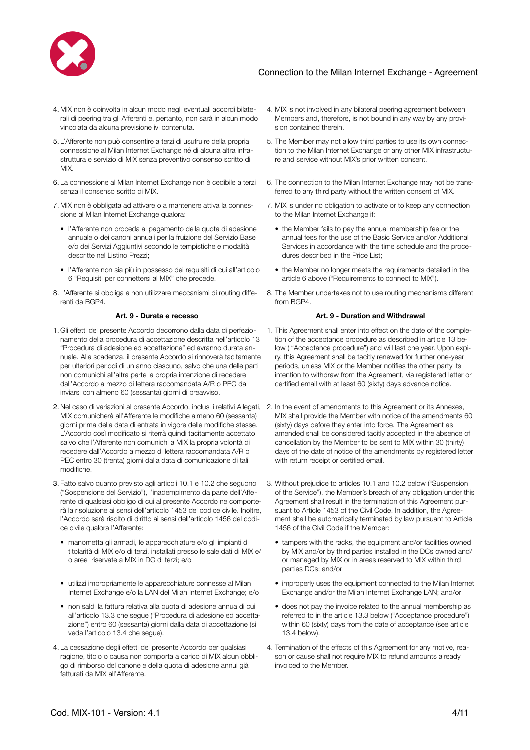

- 4. MIX non è coinvolta in alcun modo negli eventuali accordi bilaterali di peering tra gli Afferenti e, pertanto, non sarà in alcun modo vincolata da alcuna previsione ivi contenuta.
- 5. L'Afferente non può consentire a terzi di usufruire della propria connessione al Milan Internet Exchange né di alcuna altra infrastruttura e servizio di MIX senza preventivo consenso scritto di MIX.
- 6. La connessione al Milan Internet Exchange non è cedibile a terzi senza il consenso scritto di MIX.
- 7. MIX non è obbligata ad attivare o a mantenere attiva la connessione al Milan Internet Exchange qualora:
	- l'Afferente non proceda al pagamento della quota di adesione annuale o dei canoni annuali per la fruizione del Servizio Base e/o dei Servizi Aggiuntivi secondo le tempistiche e modalità descritte nel Listino Prezzi;
	- l'Afferente non sia più in possesso dei requisiti di cui all'articolo 6 "Requisiti per connettersi al MIX" che precede.
- 8. L'Afferente si obbliga a non utilizzare meccanismi di routing differenti da BGP4.

- 1. Gli effetti del presente Accordo decorrono dalla data di perfezionamento della procedura di accettazione descritta nell'articolo 13 "Procedura di adesione ed accettazione" ed avranno durata annuale. Alla scadenza, il presente Accordo si rinnoverà tacitamente per ulteriori periodi di un anno ciascuno, salvo che una delle parti non comunichi all'altra parte la propria intenzione di recedere dall'Accordo a mezzo di lettera raccomandata A/R o PEC da inviarsi con almeno 60 (sessanta) giorni di preavviso.
- 2. Nel caso di variazioni al presente Accordo, inclusi i relativi Allegati, 2. In the event of amendments to this Agreement or its Annexes, MIX comunicherà all'Afferente le modifiche almeno 60 (sessanta) giorni prima della data di entrata in vigore delle modifiche stesse. L'Accordo così modificato si riterrà quindi tacitamente accettato salvo che l'Afferente non comunichi a MIX la propria volontà di recedere dall'Accordo a mezzo di lettera raccomandata A/R o PEC entro 30 (trenta) giorni dalla data di comunicazione di tali modifiche.
- 3. Fatto salvo quanto previsto agli articoli 10.1 e 10.2 che seguono ("Sospensione del Servizio"), l'inadempimento da parte dell'Afferente di qualsiasi obbligo di cui al presente Accordo ne comporterà la risoluzione ai sensi dell'articolo 1453 del codice civile. Inoltre, l'Accordo sarà risolto di diritto ai sensi dell'articolo 1456 del codice civile qualora l'Afferente:
	- manometta gli armadi, le apparecchiature e/o gli impianti di titolarità di MIX e/o di terzi, installati presso le sale dati di MIX e/ o aree riservate a MIX in DC di terzi; e/o
	- utilizzi impropriamente le apparecchiature connesse al Milan Internet Exchange e/o la LAN del Milan Internet Exchange; e/o
	- non saldi la fattura relativa alla quota di adesione annua di cui all'articolo 13.3 che segue ("Procedura di adesione ed accettazione") entro 60 (sessanta) giorni dalla data di accettazione (si veda l'articolo 13.4 che segue).
- 4. La cessazione degli effetti del presente Accordo per qualsiasi ragione, titolo o causa non comporta a carico di MIX alcun obbligo di rimborso del canone e della quota di adesione annui già fatturati da MIX all'Afferente.
- 4. MIX is not involved in any bilateral peering agreement between Members and, therefore, is not bound in any way by any provision contained therein.
- 5. The Member may not allow third parties to use its own connection to the Milan Internet Exchange or any other MIX infrastructure and service without MIX's prior written consent.
- 6. The connection to the Milan Internet Exchange may not be transferred to any third party without the written consent of MIX.
- 7. MIX is under no obligation to activate or to keep any connection to the Milan Internet Exchange if:
	- the Member fails to pay the annual membership fee or the annual fees for the use of the Basic Service and/or Additional Services in accordance with the time schedule and the procedures described in the Price List;
	- the Member no longer meets the requirements detailed in the article 6 above ("Requirements to connect to MIX").
- 8. The Member undertakes not to use routing mechanisms different from BGP4.

### **Art. 9 - Durata e recesso Art. 9 - Duration and Withdrawal**

- 1. This Agreement shall enter into effect on the date of the completion of the acceptance procedure as described in article 13 below ( "Acceptance procedure") and will last one year. Upon expiry, this Agreement shall be tacitly renewed for further one-year periods, unless MIX or the Member notifies the other party its intention to withdraw from the Agreement, via registered letter or certified email with at least 60 (sixty) days advance notice.
- MIX shall provide the Member with notice of the amendments 60 (sixty) days before they enter into force. The Agreement as amended shall be considered tacitly accepted in the absence of cancellation by the Member to be sent to MIX within 30 (thirty) days of the date of notice of the amendments by registered letter with return receipt or certified email.
- 3. Without prejudice to articles 10.1 and 10.2 below ("Suspension of the Service"), the Member's breach of any obligation under this Agreement shall result in the termination of this Agreement pursuant to Article 1453 of the Civil Code. In addition, the Agreement shall be automatically terminated by law pursuant to Article 1456 of the Civil Code if the Member:
	- tampers with the racks, the equipment and/or facilities owned by MIX and/or by third parties installed in the DCs owned and/ or managed by MIX or in areas reserved to MIX within third parties DCs; and/or
	- improperly uses the equipment connected to the Milan Internet Exchange and/or the Milan Internet Exchange LAN; and/or
	- does not pay the invoice related to the annual membership as referred to in the article 13.3 below ("Acceptance procedure") within 60 (sixty) days from the date of acceptance (see article 13.4 below).
- 4. Termination of the effects of this Agreement for any motive, reason or cause shall not require MIX to refund amounts already invoiced to the Member.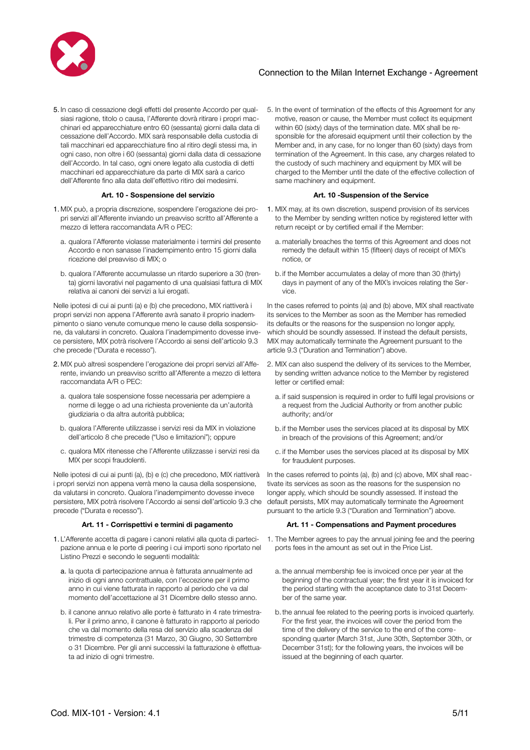

5. In caso di cessazione degli effetti del presente Accordo per qualsiasi ragione, titolo o causa, l'Afferente dovrà ritirare i propri macchinari ed apparecchiature entro 60 (sessanta) giorni dalla data di cessazione dell'Accordo. MIX sarà responsabile della custodia di tali macchinari ed apparecchiature fino al ritiro degli stessi ma, in ogni caso, non oltre i 60 (sessanta) giorni dalla data di cessazione dell'Accordo. In tal caso, ogni onere legato alla custodia di detti macchinari ed apparecchiature da parte di MIX sarà a carico dell'Afferente fino alla data dell'effettivo ritiro dei medesimi.

- 1. MIX può, a propria discrezione, sospendere l'erogazione dei propri servizi all'Afferente inviando un preavviso scritto all'Afferente a mezzo di lettera raccomandata A/R o PEC:
	- a. qualora l'Afferente violasse materialmente i termini del presente Accordo e non sanasse l'inadempimento entro 15 giorni dalla ricezione del preavviso di MIX; o
	- b. qualora l'Afferente accumulasse un ritardo superiore a 30 (trenta) giorni lavorativi nel pagamento di una qualsiasi fattura di MIX relativa ai canoni dei servizi a lui erogati.

Nelle ipotesi di cui ai punti (a) e (b) che precedono, MIX riattiverà i propri servizi non appena l'Afferente avrà sanato il proprio inadempimento o siano venute comunque meno le cause della sospensione, da valutarsi in concreto. Qualora l'inadempimento dovesse invece persistere, MIX potrà risolvere l'Accordo ai sensi dell'articolo 9.3 che precede ("Durata e recesso").

- 2. MIX può altresì sospendere l'erogazione dei propri servizi all'Afferente, inviando un preavviso scritto all'Afferente a mezzo di lettera raccomandata A/R o PEC:
	- a. qualora tale sospensione fosse necessaria per adempiere a norme di legge o ad una richiesta proveniente da un'autorità giudiziaria o da altra autorità pubblica;
	- b. qualora l'Afferente utilizzasse i servizi resi da MIX in violazione dell'articolo 8 che precede ("Uso e limitazioni"); oppure
	- c. qualora MIX ritenesse che l'Afferente utilizzasse i servizi resi da MIX per scopi fraudolenti.

Nelle ipotesi di cui ai punti (a), (b) e (c) che precedono, MIX riattiverà i propri servizi non appena verrà meno la causa della sospensione, da valutarsi in concreto. Qualora l'inadempimento dovesse invece persistere, MIX potrà risolvere l'Accordo ai sensi dell'articolo 9.3 che precede ("Durata e recesso").

- 1. L'Afferente accetta di pagare i canoni relativi alla quota di partecipazione annua e le porte di peering i cui importi sono riportato nel Listino Prezzi e secondo le seguenti modalità:
	- a. la quota di partecipazione annua è fatturata annualmente ad inizio di ogni anno contrattuale, con l'eccezione per il primo anno in cui viene fatturata in rapporto al periodo che va dal momento dell'accettazione al 31 Dicembre dello stesso anno.
	- b. il canone annuo relativo alle porte è fatturato in 4 rate trimestrali. Per il primo anno, il canone è fatturato in rapporto al periodo che va dal momento della resa del servizio alla scadenza del trimestre di competenza (31 Marzo, 30 Giugno, 30 Settembre o 31 Dicembre. Per gli anni successivi la fatturazione è effettuata ad inizio di ogni trimestre.

5. In the event of termination of the effects of this Agreement for any motive, reason or cause, the Member must collect its equipment within 60 (sixty) days of the termination date. MIX shall be responsible for the aforesaid equipment until their collection by the Member and, in any case, for no longer than 60 (sixty) days from termination of the Agreement. In this case, any charges related to the custody of such machinery and equipment by MIX will be charged to the Member until the date of the effective collection of same machinery and equipment.

### **Art. 10 - Sospensione del servizio Art. 10 -Suspension of the Service**

- 1. MIX may, at its own discretion, suspend provision of its services to the Member by sending written notice by registered letter with return receipt or by certified email if the Member:
	- a. materially breaches the terms of this Agreement and does not remedy the default within 15 (fifteen) days of receipt of MIX's notice, or
	- b. if the Member accumulates a delay of more than 30 (thirty) days in payment of any of the MIX's invoices relating the Service.

In the cases referred to points (a) and (b) above, MIX shall reactivate its services to the Member as soon as the Member has remedied its defaults or the reasons for the suspension no longer apply, which should be soundly assessed. If instead the default persists, MIX may automatically terminate the Agreement pursuant to the article 9.3 ("Duration and Termination") above.

- 2. MIX can also suspend the delivery of its services to the Member, by sending written advance notice to the Member by registered letter or certified email:
	- a. if said suspension is required in order to fulfil legal provisions or a request from the Judicial Authority or from another public authority; and/or
	- b. if the Member uses the services placed at its disposal by MIX in breach of the provisions of this Agreement; and/or
	- c. if the Member uses the services placed at its disposal by MIX for fraudulent purposes.

In the cases referred to points (a), (b) and (c) above, MIX shall reactivate its services as soon as the reasons for the suspension no longer apply, which should be soundly assessed. If instead the default persists, MIX may automatically terminate the Agreement pursuant to the article 9.3 ("Duration and Termination") above.

### **Art. 11 - Corrispettivi e termini di pagamento Art. 11 - Compensations and Payment procedures**

- 1. The Member agrees to pay the annual joining fee and the peering ports fees in the amount as set out in the Price List.
	- a. the annual membership fee is invoiced once per year at the beginning of the contractual year; the first year it is invoiced for the period starting with the acceptance date to 31st December of the same year.
	- b.the annual fee related to the peering ports is invoiced quarterly. For the first year, the invoices will cover the period from the time of the delivery of the service to the end of the corresponding quarter (March 31st, June 30th, September 30th, or December 31st); for the following years, the invoices will be issued at the beginning of each quarter.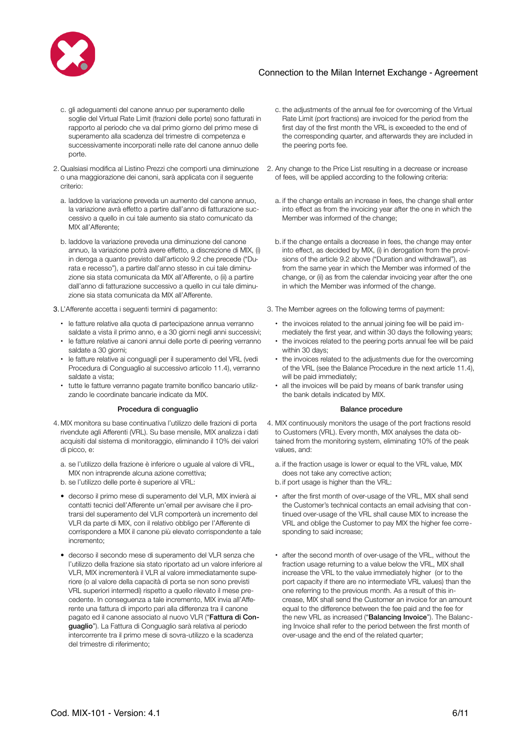

- c. gli adeguamenti del canone annuo per superamento delle soglie del Virtual Rate Limit (frazioni delle porte) sono fatturati in rapporto al periodo che va dal primo giorno del primo mese di superamento alla scadenza del trimestre di competenza e successivamente incorporati nelle rate del canone annuo delle porte.
- 2. Qualsiasi modifica al Listino Prezzi che comporti una diminuzione o una maggiorazione dei canoni, sarà applicata con il seguente criterio:
	- a. laddove la variazione preveda un aumento del canone annuo, la variazione avrà effetto a partire dall'anno di fatturazione successivo a quello in cui tale aumento sia stato comunicato da MIX all'Afferente;
	- b. laddove la variazione preveda una diminuzione del canone annuo, la variazione potrà avere effetto, a discrezione di MIX, (i) in deroga a quanto previsto dall'articolo 9.2 che precede ("Durata e recesso"), a partire dall'anno stesso in cui tale diminuzione sia stata comunicata da MIX all'Afferente, o (ii) a partire dall'anno di fatturazione successivo a quello in cui tale diminuzione sia stata comunicata da MIX all'Afferente.
- - le fatture relative alla quota di partecipazione annua verranno saldate a vista il primo anno, e a 30 giorni negli anni successivi;
	- le fatture relative ai canoni annui delle porte di peering verranno saldate a 30 giorni;
	- le fatture relative ai conguagli per il superamento del VRL (vedi Procedura di Conguaglio al successivo articolo 11.4), verranno saldate a vista;
	- tutte le fatture verranno pagate tramite bonifico bancario utilizzando le coordinate bancarie indicate da MIX.

### Procedura di conquaglio e controlle di conquaglio di controlle di controlle di controlle di controlle di controlle di controlle di controlle di controlle di controlle di controlle di controlle di controlle di controlle di

- 4. MIX monitora su base continuativa l'utilizzo delle frazioni di porta rivendute agli Afferenti (VRL). Su base mensile, MIX analizza i dati acquisiti dal sistema di monitoraggio, eliminando il 10% dei valori di picco, e:
	- a. se l'utilizzo della frazione è inferiore o uguale al valore di VRL, MIX non intraprende alcuna azione correttiva;
	- b. se l'utilizzo delle porte è superiore al VRL:
	- decorso il primo mese di superamento del VLR, MIX invierà ai contatti tecnici dell'Afferente un'email per avvisare che il protrarsi del superamento del VLR comporterà un incremento del VLR da parte di MIX, con il relativo obbligo per l'Afferente di corrispondere a MIX il canone più elevato corrispondente a tale incremento;
	- decorso il secondo mese di superamento del VLR senza che l'utilizzo della frazione sia stato riportato ad un valore inferiore al VLR, MIX incrementerà il VLR al valore immediatamente superiore (o al valore della capacità di porta se non sono previsti VRL superiori intermedi) rispetto a quello rilevato il mese precedente. In conseguenza a tale incremento, MIX invia all'Afferente una fattura di importo pari alla differenza tra il canone pagato ed il canone associato al nuovo VLR ("Fattura di Conguaglio"). La Fattura di Conguaglio sarà relativa al periodo intercorrente tra il primo mese di sovra-utilizzo e la scadenza del trimestre di riferimento;
- c. the adjustments of the annual fee for overcoming of the Virtual Rate Limit (port fractions) are invoiced for the period from the first day of the first month the VRL is exceeded to the end of the corresponding quarter, and afterwards they are included in the peering ports fee.
- 2. Any change to the Price List resulting in a decrease or increase of fees, will be applied according to the following criteria:
	- a. if the change entails an increase in fees, the change shall enter into effect as from the invoicing year after the one in which the Member was informed of the change;
	- b. if the change entails a decrease in fees, the change may enter into effect, as decided by MIX, (i) in derogation from the provisions of the article 9.2 above ("Duration and withdrawal"), as from the same year in which the Member was informed of the change, or (ii) as from the calendar invoicing year after the one in which the Member was informed of the change.
- 3. L'Afferente accetta i seguenti termini di pagamento: 3. The Member agrees on the following terms of payment:
	- the invoices related to the annual joining fee will be paid immediately the first year, and within 30 days the following years;
	- the invoices related to the peering ports annual fee will be paid within 30 days;
	- the invoices related to the adjustments due for the overcoming of the VRL (see the Balance Procedure in the next article 11.4), will be paid immediately;
	- all the invoices will be paid by means of bank transfer using the bank details indicated by MIX.

- 4. MIX continuously monitors the usage of the port fractions resold to Customers (VRL). Every month, MIX analyses the data obtained from the monitoring system, eliminating 10% of the peak values, and:
	- a. if the fraction usage is lower or equal to the VRL value, MIX does not take any corrective action;
	- b. if port usage is higher than the VRL:
	- after the first month of over-usage of the VRL, MIX shall send the Customer's technical contacts an email advising that continued over-usage of the VRL shall cause MIX to increase the VRL and oblige the Customer to pay MIX the higher fee corresponding to said increase;
	- after the second month of over-usage of the VRL, without the fraction usage returning to a value below the VRL, MIX shall increase the VRL to the value immediately higher (or to the port capacity if there are no intermediate VRL values) than the one referring to the previous month. As a result of this increase, MIX shall send the Customer an invoice for an amount equal to the difference between the fee paid and the fee for the new VRL as increased ("Balancing Invoice"). The Balancing Invoice shall refer to the period between the first month of over-usage and the end of the related quarter;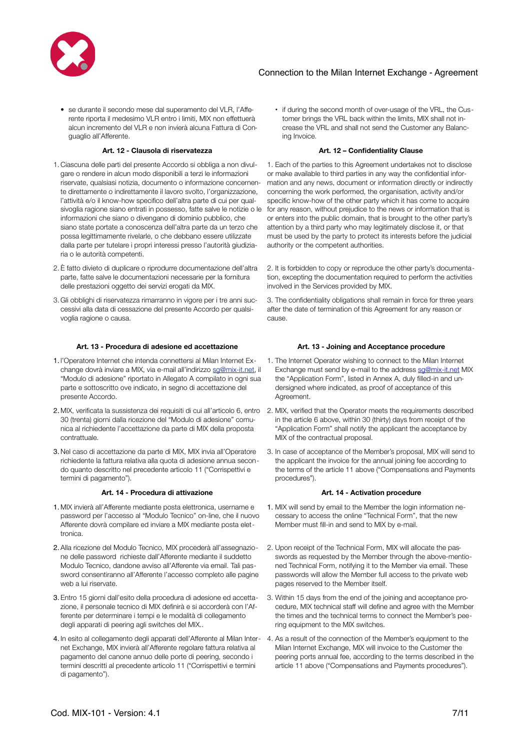

• se durante il secondo mese dal superamento del VLR, l'Afferente riporta il medesimo VLR entro i limiti, MIX non effettuerà alcun incremento del VLR e non invierà alcuna Fattura di Conguaglio all'Afferente.

### **Art. 12 - Clausola di riservatezza Art. 12 – Confidentiality Clause**

- 1. Ciascuna delle parti del presente Accordo si obbliga a non divulgare o rendere in alcun modo disponibili a terzi le informazioni riservate, qualsiasi notizia, documento o informazione concernente direttamente o indirettamente il lavoro svolto, l'organizzazione, l'attività e/o il know-how specifico dell'altra parte di cui per qualsivoglia ragione siano entrati in possesso, fatte salve le notizie o le informazioni che siano o divengano di dominio pubblico, che siano state portate a conoscenza dell'altra parte da un terzo che possa legittimamente rivelarle, o che debbano essere utilizzate dalla parte per tutelare i propri interessi presso l'autorità giudiziaria o le autorità competenti.
- 2. È fatto divieto di duplicare o riprodurre documentazione dell'altra parte, fatte salve le documentazioni necessarie per la fornitura delle prestazioni oggetto dei servizi erogati da MIX.
- 3. Gli obblighi di riservatezza rimarranno in vigore per i tre anni successivi alla data di cessazione del presente Accordo per qualsivoglia ragione o causa.

### **Art. 13 - Procedura di adesione ed accettazione Art. 13 - Joining and Acceptance procedure**

- 1. l'Operatore Internet che intenda connettersi al Milan Internet Exchange dovrà inviare a MIX, via e-mail all'indirizzo [sg@mix-it.net,](mailto:sg@mix-it.net) il "Modulo di adesione" riportato in Allegato A compilato in ogni sua parte e sottoscritto ove indicato, in segno di accettazione del presente Accordo.
- 30 (trenta) giorni dalla ricezione del "Modulo di adesione" comunica al richiedente l'accettazione da parte di MIX della proposta contrattuale.
- 3. Nel caso di accettazione da parte di MIX, MIX invia all'Operatore richiedente la fattura relativa alla quota di adesione annua secondo quanto descritto nel precedente articolo 11 ("Corrispettivi e termini di pagamento").

### **Art. 14 - Procedura di attivazione Art. 14 - Activation procedure**

- 1. MIX invierà all'Afferente mediante posta elettronica, username e password per l'accesso al "Modulo Tecnico" on-line, che il nuovo Afferente dovrà compilare ed inviare a MIX mediante posta elettronica.
- 2. Alla ricezione del Modulo Tecnico, MIX procederà all'assegnazione delle password richieste dall'Afferente mediante il suddetto Modulo Tecnico, dandone avviso all'Afferente via email. Tali password consentiranno all'Afferente l'accesso completo alle pagine web a lui riservate.
- 3. Entro 15 giorni dall'esito della procedura di adesione ed accettazione, il personale tecnico di MIX definirà e si accorderà con l'Afferente per determinare i tempi e le modalità di collegamento degli apparati di peering agli switches del MIX..
- 4. In esito al collegamento degli apparati dell'Afferente al Milan Inter-4. As a result of the connection of the Member's equipment to the net Exchange, MIX invierà all'Afferente regolare fattura relativa al pagamento del canone annuo delle porte di peering, secondo i termini descritti al precedente articolo 11 ("Corrispettivi e termini di pagamento").

• if during the second month of over-usage of the VRL, the Customer brings the VRL back within the limits, MIX shall not increase the VRL and shall not send the Customer any Balancing Invoice.

1. Each of the parties to this Agreement undertakes not to disclose or make available to third parties in any way the confidential information and any news, document or information directly or indirectly concerning the work performed, the organisation, activity and/or specific know-how of the other party which it has come to acquire for any reason, without prejudice to the news or information that is or enters into the public domain, that is brought to the other party's attention by a third party who may legitimately disclose it, or that must be used by the party to protect its interests before the judicial authority or the competent authorities.

2. It is forbidden to copy or reproduce the other party's documentation, excepting the documentation required to perform the activities involved in the Services provided by MIX.

3. The confidentiality obligations shall remain in force for three years after the date of termination of this Agreement for any reason or cause.

- 1. The Internet Operator wishing to connect to the Milan Internet Exchange must send by e-mail to the address [sg@mix-it.net](mailto:sg@mix-it.net) MIX the "Application Form", listed in Annex A, duly filled-in and undersigned where indicated, as proof of acceptance of this Agreement.
- 2. MIX, verificata la sussistenza dei requisiti di cui all'articolo 6, entro 2. MIX, verified that the Operator meets the requirements described in the article 6 above, within 30 (thirty) days from receipt of the "Application Form" shall notify the applicant the acceptance by MIX of the contractual proposal.
	- 3. In case of acceptance of the Member's proposal, MIX will send to the applicant the invoice for the annual joining fee according to the terms of the article 11 above ("Compensations and Payments procedures").

- 1. MIX will send by email to the Member the login information necessary to access the online "Technical Form", that the new Member must fill-in and send to MIX by e-mail.
- 2. Upon receipt of the Technical Form, MIX will allocate the passwords as requested by the Member through the above-mentioned Technical Form, notifying it to the Member via email. These passwords will allow the Member full access to the private web pages reserved to the Member itself.
- 3. Within 15 days from the end of the joining and acceptance procedure, MIX technical staff will define and agree with the Member the times and the technical terms to connect the Member's peering equipment to the MIX switches.
- Milan Internet Exchange, MIX will invoice to the Customer the peering ports annual fee, according to the terms described in the article 11 above ("Compensations and Payments procedures").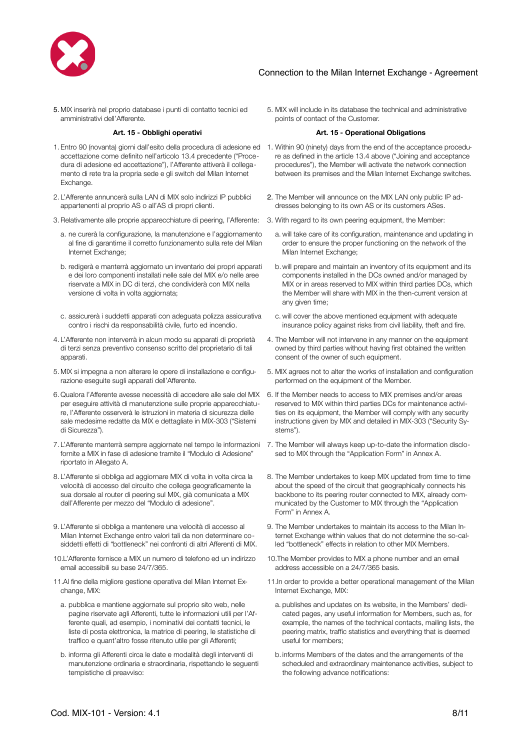

5. MIX inserirà nel proprio database i punti di contatto tecnici ed amministrativi dell'Afferente.

- 1. Entro 90 (novanta) giorni dall'esito della procedura di adesione ed 1. Within 90 (ninety) days from the end of the acceptance proceduaccettazione come definito nell'articolo 13.4 precedente ("Procedura di adesione ed accettazione"), l'Afferente attiverà il collegamento di rete tra la propria sede e gli switch del Milan Internet Exchange.
- 2. L'Afferente annuncerà sulla LAN di MIX solo indirizzi IP pubblici appartenenti al proprio AS o all'AS di propri clienti.
- 3.Relativamente alle proprie apparecchiature di peering, l'Afferente: 3. With regard to its own peering equipment, the Member:
	- a. ne curerà la configurazione, la manutenzione e l'aggiornamento al fine di garantirne il corretto funzionamento sulla rete del Milan Internet Exchange;
	- b. redigerà e manterrà aggiornato un inventario dei propri apparati e dei loro componenti installati nelle sale del MIX e/o nelle aree riservate a MIX in DC di terzi, che condividerà con MIX nella versione di volta in volta aggiornata;
- c. assicurerà i suddetti apparati con adeguata polizza assicurativa contro i rischi da responsabilità civile, furto ed incendio.
- 4. L'Afferente non interverrà in alcun modo su apparati di proprietà di terzi senza preventivo consenso scritto del proprietario di tali apparati.
- 5. MIX si impegna a non alterare le opere di installazione e configurazione eseguite sugli apparati dell'Afferente.
- 6. Qualora l'Afferente avesse necessità di accedere alle sale del MIX per eseguire attività di manutenzione sulle proprie apparecchiature, l'Afferente osserverà le istruzioni in materia di sicurezza delle sale medesime redatte da MIX e dettagliate in MIX-303 ("Sistemi di Sicurezza").
- 7. L'Afferente manterrà sempre aggiornate nel tempo le informazioni fornite a MIX in fase di adesione tramite il "Modulo di Adesione" riportato in Allegato A.
- 8. L'Afferente si obbliga ad aggiornare MIX di volta in volta circa la velocità di accesso del circuito che collega geograficamente la sua dorsale al router di peering sul MIX, già comunicata a MIX dall'Afferente per mezzo del "Modulo di adesione".
- 9. L'Afferente si obbliga a mantenere una velocità di accesso al Milan Internet Exchange entro valori tali da non determinare cosiddetti effetti di "bottleneck" nei confronti di altri Afferenti di MIX.
- 10.L'Afferente fornisce a MIX un numero di telefono ed un indirizzo email accessibili su base 24/7/365.
- 11.Al fine della migliore gestione operativa del Milan Internet Exchange, MIX:
	- a. pubblica e mantiene aggiornate sul proprio sito web, nelle pagine riservate agli Afferenti, tutte le informazioni utili per l'Afferente quali, ad esempio, i nominativi dei contatti tecnici, le liste di posta elettronica, la matrice di peering, le statistiche di traffico e quant'altro fosse ritenuto utile per gli Afferenti;
	- b. informa gli Afferenti circa le date e modalità degli interventi di manutenzione ordinaria e straordinaria, rispettando le seguenti tempistiche di preavviso:

5. MIX will include in its database the technical and administrative points of contact of the Customer.

### **Art. 15 - Obblighi operativi Art. 15 - Operational Obligations**

- re as defined in the article 13.4 above ("Joining and acceptance procedures"), the Member will activate the network connection between its premises and the Milan Internet Exchange switches.
- 2. The Member will announce on the MIX LAN only public IP addresses belonging to its own AS or its customers ASes.
- - a. will take care of its configuration, maintenance and updating in order to ensure the proper functioning on the network of the Milan Internet Exchange;
	- b.will prepare and maintain an inventory of its equipment and its components installed in the DCs owned and/or managed by MIX or in areas reserved to MIX within third parties DCs, which the Member will share with MIX in the then-current version at any given time;
	- c. will cover the above mentioned equipment with adequate insurance policy against risks from civil liability, theft and fire.
- 4. The Member will not intervene in any manner on the equipment owned by third parties without having first obtained the written consent of the owner of such equipment.
- 5. MIX agrees not to alter the works of installation and configuration performed on the equipment of the Member.
- 6. If the Member needs to access to MIX premises and/or areas reserved to MIX within third parties DCs for maintenance activities on its equipment, the Member will comply with any security instructions given by MIX and detailed in MIX-303 ("Security Systems").
- 7. The Member will always keep up-to-date the information disclosed to MIX through the "Application Form" in Annex A.
- 8. The Member undertakes to keep MIX updated from time to time about the speed of the circuit that geographically connects his backbone to its peering router connected to MIX, already communicated by the Customer to MIX through the "Application Form" in Annex A.
- 9. The Member undertakes to maintain its access to the Milan Internet Exchange within values that do not determine the so-called "bottleneck" effects in relation to other MIX Members.
- 10.The Member provides to MIX a phone number and an email address accessible on a 24/7/365 basis.
- 11.In order to provide a better operational management of the Milan Internet Exchange, MIX:
	- a. publishes and updates on its website, in the Members' dedicated pages, any useful information for Members, such as, for example, the names of the technical contacts, mailing lists, the peering matrix, traffic statistics and everything that is deemed useful for members;
	- b. informs Members of the dates and the arrangements of the scheduled and extraordinary maintenance activities, subject to the following advance notifications: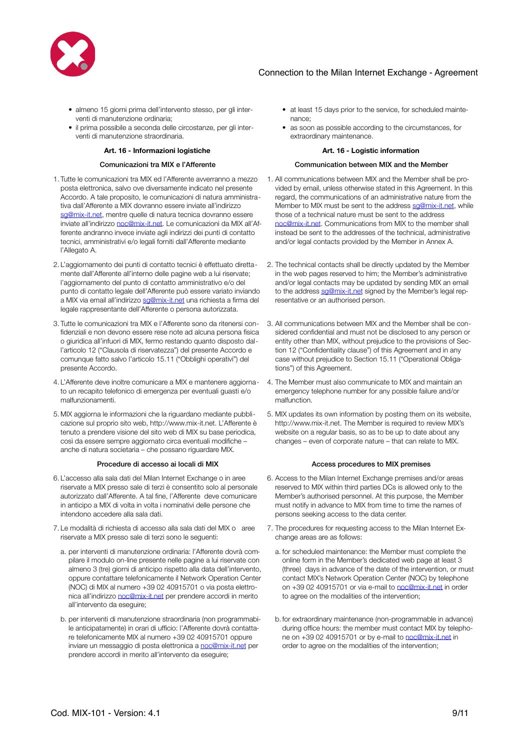

- almeno 15 giorni prima dell'intervento stesso, per gli interventi di manutenzione ordinaria;
- il prima possibile a seconda delle circostanze, per gli interventi di manutenzione straordinaria.

### **Art. 16 - Informazioni logistiche Art. 16 - Logistic information**

- 1. Tutte le comunicazioni tra MIX ed l'Afferente avverranno a mezzo posta elettronica, salvo ove diversamente indicato nel presente Accordo. A tale proposito, le comunicazioni di natura amministrativa dall'Afferente a MIX dovranno essere inviate all'indirizzo [sg@mix-it.net,](mailto:sg@mix-it.net) mentre quelle di natura tecnica dovranno essere inviate all'indirizzo [noc@mix-it.net](mailto:noc@mix-it.net). Le comunicazioni da MIX all'Afferente andranno invece inviate agli indirizzi dei punti di contatto tecnici, amministrativi e/o legali forniti dall'Afferente mediante l'Allegato A.
- 2. L'aggiornamento dei punti di contatto tecnici è effettuato direttamente dall'Afferente all'interno delle pagine web a lui riservate; l'aggiornamento del punto di contatto amministrativo e/o del punto di contatto legale dell'Afferente può essere variato inviando a MIX via email all'indirizzo [sg@mix-it.net](mailto:sg@mix-it.net) una richiesta a firma del legale rappresentante dell'Afferente o persona autorizzata.
- 3. Tutte le comunicazioni tra MIX e l'Afferente sono da ritenersi confidenziali e non devono essere rese note ad alcuna persona fisica o giuridica all'infuori di MIX, fermo restando quanto disposto dall'articolo 12 ("Clausola di riservatezza") del presente Accordo e comunque fatto salvo l'articolo 15.11 ("Obblighi operativi") del presente Accordo.
- 4. L'Afferente deve inoltre comunicare a MIX e mantenere aggiornato un recapito telefonico di emergenza per eventuali guasti e/o malfunzionamenti.
- 5. MIX aggiorna le informazioni che la riguardano mediante pubblicazione sul proprio sito web, http://[www.mix-it.net](http://www.mix-it.net). L'Afferente è tenuto a prendere visione del sito web di MIX su base periodica, così da essere sempre aggiornato circa eventuali modifiche – anche di natura societaria – che possano riguardare MIX.

- 6. L'accesso alla sala dati del Milan Internet Exchange o in aree riservate a MIX presso sale di terzi è consentito solo al personale autorizzato dall'Afferente. A tal fine, l'Afferente deve comunicare in anticipo a MIX di volta in volta i nominativi delle persone che intendono accedere alla sala dati.
- 7. Le modalità di richiesta di accesso alla sala dati del MIX o aree riservate a MIX presso sale di terzi sono le seguenti:
	- a. per interventi di manutenzione ordinaria: l'Afferente dovrà compilare il modulo on-line presente nelle pagine a lui riservate con almeno 3 (tre) giorni di anticipo rispetto alla data dell'intervento, oppure contattare telefonicamente il Network Operation Center (NOC) di MIX al numero +39 02 40915701 o via posta elettronica all'indirizzo [noc@mix-it.net](mailto:noc@mix-it.net) per prendere accordi in merito all'intervento da eseguire;
	- b. per interventi di manutenzione straordinaria (non programmabile anticipatamente) in orari di ufficio: l'Afferente dovrà contattare telefonicamente MIX al numero +39 02 40915701 oppure inviare un messaggio di posta elettronica a [noc@mix-it.net](mailto:noc@mix-it.net) per prendere accordi in merito all'intervento da eseguire;
- at least 15 days prior to the service, for scheduled maintenance;
- as soon as possible according to the circumstances, for extraordinary maintenance.

### Comunicazioni tra MIX e l'Afferente Communication between MIX and the Member

- 1. All communications between MIX and the Member shall be provided by email, unless otherwise stated in this Agreement. In this regard, the communications of an administrative nature from the Member to MIX must be sent to the address sa@mix-it.net, while those of a technical nature must be sent to the address [noc@mix-it.net](mailto:noc@mix-it.net). Communications from MIX to the member shall instead be sent to the addresses of the technical, administrative and/or legal contacts provided by the Member in Annex A.
- 2. The technical contacts shall be directly updated by the Member in the web pages reserved to him; the Member's administrative and/or legal contacts may be updated by sending MIX an email to the address [sg@mix-it.net](mailto:sg@mix-it.net) signed by the Member's legal representative or an authorised person.
- 3. All communications between MIX and the Member shall be considered confidential and must not be disclosed to any person or entity other than MIX, without prejudice to the provisions of Section 12 ("Confidentiality clause") of this Agreement and in any case without prejudice to Section 15.11 ("Operational Obligations") of this Agreement.
- 4. The Member must also communicate to MIX and maintain an emergency telephone number for any possible failure and/or malfunction.
- 5. MIX updates its own information by posting them on its website, http://www.mix-it.net. The Member is required to review MIX's website on a regular basis, so as to be up to date about any changes – even of corporate nature – that can relate to MIX.

### Procedure di accesso ai locali di MIX accesso en accesso procedures to MIX premises

- 6. Access to the Milan Internet Exchange premises and/or areas reserved to MIX within third parties DCs is allowed only to the Member's authorised personnel. At this purpose, the Member must notify in advance to MIX from time to time the names of persons seeking access to the data center.
- 7. The procedures for requesting access to the Milan Internet Exchange areas are as follows:
	- a. for scheduled maintenance: the Member must complete the online form in the Member's dedicated web page at least 3 (three) days in advance of the date of the intervention, or must contact MIX's Network Operation Center (NOC) by telephone on +39 02 40915701 or via e-mail to [noc@mix-it.net](mailto:noc@mix-it.net) in order to agree on the modalities of the intervention;
	- b. for extraordinary maintenance (non-programmable in advance) during office hours: the member must contact MIX by telephone on +39 02 40915701 or by e-mail to [noc@mix-it.net](mailto:noc@mix-it.net) in order to agree on the modalities of the intervention;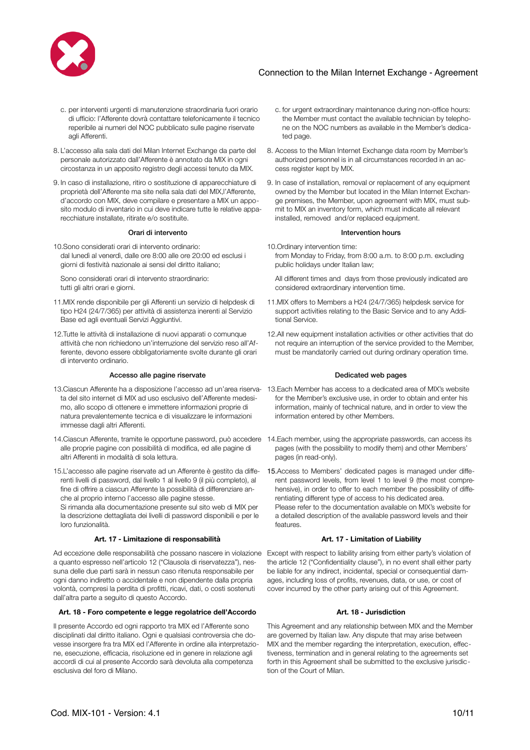

- c. per interventi urgenti di manutenzione straordinaria fuori orario di ufficio: l'Afferente dovrà contattare telefonicamente il tecnico reperibile ai numeri del NOC pubblicato sulle pagine riservate agli Afferenti.
- 8. L'accesso alla sala dati del Milan Internet Exchange da parte del personale autorizzato dall'Afferente è annotato da MIX in ogni circostanza in un apposito registro degli accessi tenuto da MIX.
- 9. In caso di installazione, ritiro o sostituzione di apparecchiature di proprietà dell'Afferente ma site nella sala dati del MIX,l'Afferente, d'accordo con MIX, deve compilare e presentare a MIX un apposito modulo di inventario in cui deve indicare tutte le relative apparecchiature installate, ritirate e/o sostituite.

10.Sono considerati orari di intervento ordinario: dal lunedì al venerdì, dalle ore 8:00 alle ore 20:00 ed esclusi i giorni di festività nazionale ai sensi del diritto italiano;

Sono considerati orari di intervento straordinario: tutti gli altri orari e giorni.

- 11.MIX rende disponibile per gli Afferenti un servizio di helpdesk di tipo H24 (24/7/365) per attività di assistenza inerenti al Servizio Base ed agli eventuali Servizi Aggiuntivi.
- 12.Tutte le attività di installazione di nuovi apparati o comunque attività che non richiedono un'interruzione del servizio reso all'Afferente, devono essere obbligatoriamente svolte durante gli orari di intervento ordinario.

### Accesso alle pagine riservate and the Dedicated web pages **Dedicated web pages**

- ta del sito internet di MIX ad uso esclusivo dell'Afferente medesimo, allo scopo di ottenere e immettere informazioni proprie di natura prevalentemente tecnica e di visualizzare le informazioni immesse dagli altri Afferenti.
- 14.Ciascun Afferente, tramite le opportune password, può accedere 14.Each member, using the appropriate passwords, can access its alle proprie pagine con possibilità di modifica, ed alle pagine di altri Afferenti in modalità di sola lettura.
- 15.L'accesso alle pagine riservate ad un Afferente è gestito da differenti livelli di password, dal livello 1 al livello 9 (il più completo), al fine di offrire a ciascun Afferente la possibilità di differenziare anche al proprio interno l'accesso alle pagine stesse.

Si rimanda alla documentazione presente sul sito web di MIX per la descrizione dettagliata dei livelli di password disponibili e per le loro funzionalità.

### **Art. 17 - Limitazione di responsabilità Art. 17 - Limitation of Liability**

Ad eccezione delle responsabilità che possano nascere in violazione Except with respect to liability arising from either party's violation of a quanto espresso nell'articolo 12 ("Clausola di riservatezza"), nessuna delle due parti sarà in nessun caso ritenuta responsabile per ogni danno indiretto o accidentale e non dipendente dalla propria volontà, compresi la perdita di profitti, ricavi, dati, o costi sostenuti dall'altra parte a seguito di questo Accordo.

### **Art. 18 - Foro competente e legge regolatrice dell'Accordo Art. 18 - Jurisdiction**

Il presente Accordo ed ogni rapporto tra MIX ed l'Afferente sono disciplinati dal diritto italiano. Ogni e qualsiasi controversia che dovesse insorgere fra tra MIX ed l'Afferente in ordine alla interpretazione, esecuzione, efficacia, risoluzione ed in genere in relazione agli accordi di cui al presente Accordo sarà devoluta alla competenza esclusiva del foro di Milano.

- c. for urgent extraordinary maintenance during non-office hours: the Member must contact the available technician by telephone on the NOC numbers as available in the Member's dedicated page.
- 8. Access to the Milan Internet Exchange data room by Member's authorized personnel is in all circumstances recorded in an access register kept by MIX.
- 9. In case of installation, removal or replacement of any equipment owned by the Member but located in the Milan Internet Exchange premises, the Member, upon agreement with MIX, must submit to MIX an inventory form, which must indicate all relevant installed, removed and/or replaced equipment.

### Orari di intervento **Intervention** hours

- 10.Ordinary intervention time: from Monday to Friday, from 8:00 a.m. to 8:00 p.m. excluding public holidays under Italian law;
	- All different times and days from those previously indicated are considered extraordinary intervention time.
- 11.MIX offers to Members a H24 (24/7/365) helpdesk service for support activities relating to the Basic Service and to any Additional Service.
- 12.All new equipment installation activities or other activities that do not require an interruption of the service provided to the Member, must be mandatorily carried out during ordinary operation time.

- 13.Ciascun Afferente ha a disposizione l'accesso ad un'area riserva-13.Each Member has access to a dedicated area of MIX's website for the Member's exclusive use, in order to obtain and enter his information, mainly of technical nature, and in order to view the information entered by other Members.
	- pages (with the possibility to modify them) and other Members' pages (in read-only).
	- 15.Access to Members' dedicated pages is managed under different password levels, from level 1 to level 9 (the most comprehensive), in order to offer to each member the possibility of differentiating different type of access to his dedicated area. Please refer to the documentation available on MIX's website for a detailed description of the available password levels and their features.

the article 12 ("Confidentiality clause"), in no event shall either party be liable for any indirect, incidental, special or consequential damages, including loss of profits, revenues, data, or use, or cost of cover incurred by the other party arising out of this Agreement.

This Agreement and any relationship between MIX and the Member are governed by Italian law. Any dispute that may arise between MIX and the member regarding the interpretation, execution, effectiveness, termination and in general relating to the agreements set forth in this Agreement shall be submitted to the exclusive jurisdiction of the Court of Milan.